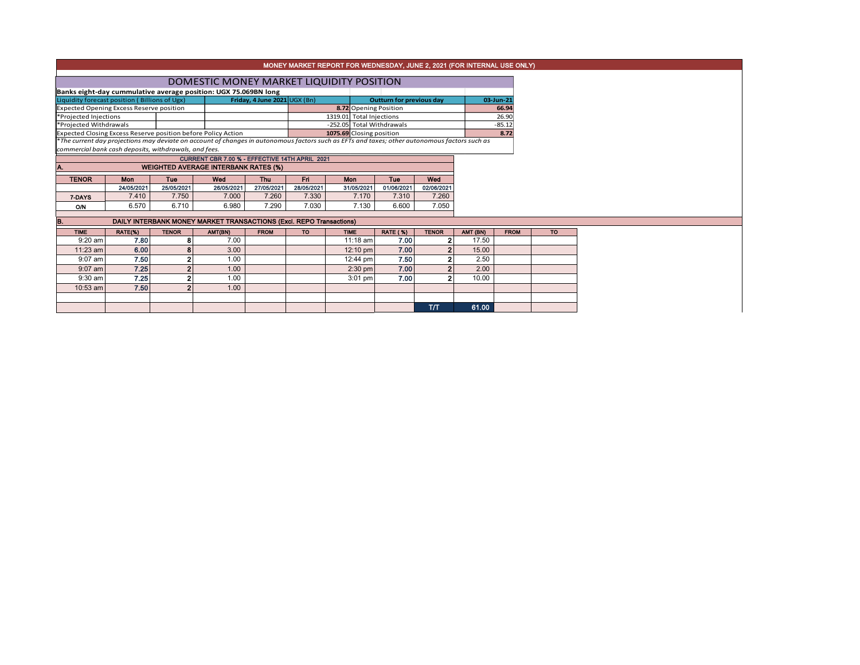| MONEY MARKET REPORT FOR WEDNESDAY, JUNE 2, 2021 (FOR INTERNAL USE ONLY) |                                                |                |                                                                                                                                               |                                |            |                                                   |                                 |                |          |             |           |  |
|-------------------------------------------------------------------------|------------------------------------------------|----------------|-----------------------------------------------------------------------------------------------------------------------------------------------|--------------------------------|------------|---------------------------------------------------|---------------------------------|----------------|----------|-------------|-----------|--|
|                                                                         |                                                |                |                                                                                                                                               |                                |            |                                                   |                                 |                |          |             |           |  |
|                                                                         |                                                |                | DOMESTIC MONEY MARKET LIQUIDITY POSITION                                                                                                      |                                |            |                                                   |                                 |                |          |             |           |  |
|                                                                         |                                                |                | Banks eight-day cummulative average position: UGX 75.069BN long                                                                               |                                |            |                                                   |                                 |                |          |             |           |  |
| Liquidity forecast position (Billions of Ugx)                           |                                                |                |                                                                                                                                               | Friday, 4 June 2021 $UGX$ (Bn) |            |                                                   | <b>Outturn for previous day</b> |                |          | 03-Jun-21   |           |  |
| <b>Expected Opening Excess Reserve position</b>                         |                                                |                |                                                                                                                                               |                                |            | 8.72 Opening Position<br>1319.01 Total Injections |                                 | 66.94<br>26.90 |          |             |           |  |
| *Projected Injections<br>*Projected Withdrawals                         |                                                |                |                                                                                                                                               | -252.05 Total Withdrawals      |            |                                                   |                                 | $-85.12$       |          |             |           |  |
|                                                                         |                                                |                | Expected Closing Excess Reserve position before Policy Action                                                                                 |                                |            | 1075.69 Closing position                          |                                 |                |          | 8.72        |           |  |
|                                                                         |                                                |                | *The current day projections may deviate on account of changes in autonomous factors such as EFTs and taxes; other autonomous factors such as |                                |            |                                                   |                                 |                |          |             |           |  |
| commercial bank cash deposits, withdrawals, and fees.                   |                                                |                |                                                                                                                                               |                                |            |                                                   |                                 |                |          |             |           |  |
|                                                                         | CURRENT CBR 7.00 % - EFFECTIVE 14TH APRIL 2021 |                |                                                                                                                                               |                                |            |                                                   |                                 |                |          |             |           |  |
| IA.                                                                     |                                                |                | <b>WEIGHTED AVERAGE INTERBANK RATES (%)</b>                                                                                                   |                                |            |                                                   |                                 |                |          |             |           |  |
| <b>TENOR</b>                                                            | Mon                                            | Tue            | Wed                                                                                                                                           | Thu                            | Fri        | Mon                                               | Tue                             | Wed            |          |             |           |  |
|                                                                         | 24/05/2021                                     | 25/05/2021     | 26/05/2021                                                                                                                                    | 27/05/2021                     | 28/05/2021 | 31/05/2021                                        | 01/06/2021                      | 02/06/2021     |          |             |           |  |
| 7 DAYS                                                                  | 7.410                                          | 7.750          | 7.000                                                                                                                                         | 7.260                          | 7.330      | 7.170                                             | 7.310                           | 7.260          |          |             |           |  |
| O/N                                                                     | 6.570                                          | 6.710          | 6.980                                                                                                                                         | 7.290                          | 7.030      | 7.130                                             | 6.600                           | 7.050          |          |             |           |  |
|                                                                         |                                                |                | DAILY INTERBANK MONEY MARKET TRANSACTIONS (Excl. REPO Transactions)                                                                           |                                |            |                                                   |                                 |                |          |             |           |  |
| B.                                                                      |                                                |                |                                                                                                                                               |                                |            |                                                   |                                 |                |          |             |           |  |
| <b>TIME</b>                                                             | RATE(%)                                        | <b>TENOR</b>   | AMT(BN)                                                                                                                                       | <b>FROM</b>                    | <b>TO</b>  | <b>TIME</b>                                       | <b>RATE (%)</b>                 | <b>TENOR</b>   | AMT (BN) | <b>FROM</b> | <b>TO</b> |  |
| $9:20$ am                                                               | 7.80                                           | 8              | 7.00                                                                                                                                          |                                |            | $11:18$ am                                        | 7.00                            | 2              | 17.50    |             |           |  |
| 11:23 am                                                                | 6.00                                           | 8              | 3.00                                                                                                                                          |                                |            | 12:10 pm                                          | 7.00                            | $\overline{2}$ | 15.00    |             |           |  |
| $9:07$ am                                                               | 7.50                                           | $\mathbf{2}$   | 1.00                                                                                                                                          |                                |            | 12:44 pm                                          | 7.50                            | 2 <sub>1</sub> | 2.50     |             |           |  |
| $9:07$ am                                                               | 7.25                                           | $\mathbf{2}$   | 1.00                                                                                                                                          |                                |            | $2:30$ pm                                         | 7.00                            | $\mathbf{2}$   | 2.00     |             |           |  |
| $9:30$ am                                                               | 7.25                                           | $\mathbf{2}$   | 1.00                                                                                                                                          |                                |            | $3:01$ pm                                         | 7.00                            | $\mathbf{2}$   | 10.00    |             |           |  |
| 10:53 am                                                                | 7.50                                           | $\overline{2}$ | 1.00                                                                                                                                          |                                |            |                                                   |                                 |                |          |             |           |  |
|                                                                         |                                                |                |                                                                                                                                               |                                |            |                                                   |                                 |                |          |             |           |  |
|                                                                         |                                                |                |                                                                                                                                               |                                |            |                                                   |                                 | T/T            | 61.00    |             |           |  |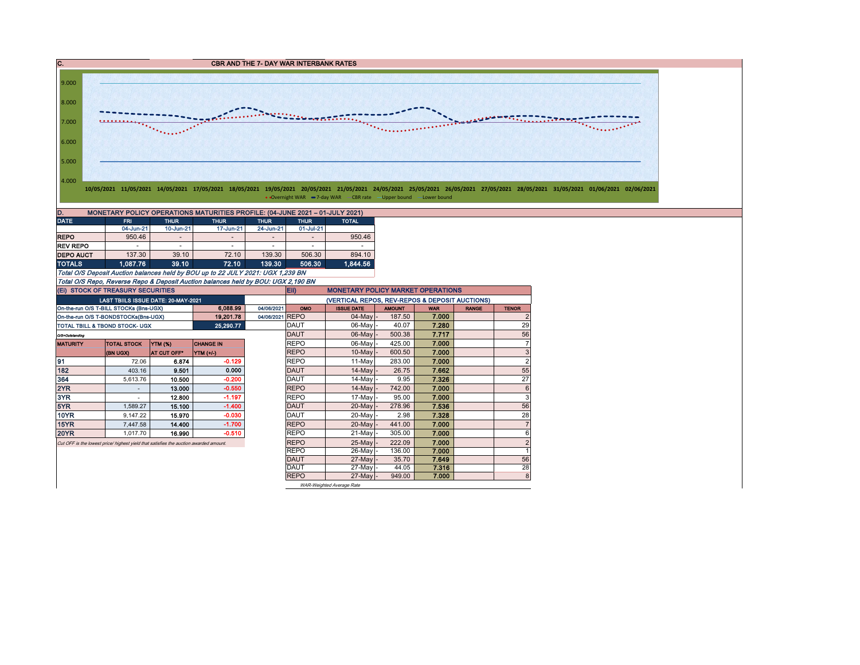C. C. CBR AND THE 7- DAY WAR INTERBANK RATES 9.000 8.000 **Sounder the Contractor** 7.000 <u> Alban alban a</u>  $\mathcal{L}_{\text{intra}}$ . . . . . . . . . . . . . 6.000 5.000 4.000 10/05/2021 11/05/2021 14/05/2021 17/05/2021 18/05/2021 19/05/2021 20/05/2021 21/05/2021 24/05/2021 25/05/2021 26/05/2021 27/05/2021 28/05/2021 11/05/2021 01/06/2021 02/06/2021 • Overnight WAR = 7-day WAR - CBR rate - Upper bound - Lower bound D. MONETARY POLICY OPERATIONS MATURITIES PROFILE: (04-JUNE 2021 – 01-JULY 2021)<br>DATE THUR TRIMIT THUR THUR THUR THUR THUR TOTAL DATE FRI THUR THUR THUR THUR TOTAL 04-Jun-21 10-Jun-21 17-Jun-21 24-Jun-21 01-Jul-21 REPO | 950.46 - | - | - | - | 950.46 REV REPO | - | - | - | - | - | - | - | **DEPO AUCT** 137.30 39.10 72.10 139.30 506.30 894.10 TOTALS 1,087.76 39.10 72.10 139.30 506.30 1,844.56 Total O/S Deposit Auction balances held by BOU up to 22 JULY 2021: UGX 1,239 BN Total O/S Repo, Reverse Repo & Deposit Auction balances held by BOU: UGX 2,190 BN (Ei) STOCK OF TREASURY SECURITIES Eii) MONETARY POLICY MARKET OPERATIONS (VERTICAL REPOS, REV-REPOS & DEPOSIT AUCTIONS) LAST TBIILS ISSUE DATE: 20-MAY-2021 On-the-run O/S T-BILL STOCKs (Bns-UGX) **6,088.99** 04/06/2021 OMO ISSUE DATE AMOUNT WAR RANGE TENOR On-the-run O/S T-BONDSTOCKs(Bns-UGX) | 19,201.78 04/06/2021 REPO | 04-May - 187.50 7.000 | 2 TOTAL TBILL & TBOND STOCK- UGX **25,290.77** DAUT 06-May - 40.07 7.280 29 O/S=Outstanding DAUT 06-May - 500.38 7.717 56 MATURITY TOTAL STOCK YTM (%) CHANGE IN REPO 86-May - 425.00 7.**000** 7. (BN UGX) AT CUT OFF\* YTM (+/-) 10-May |- 600.50 **| 7.000** | 3 91 72.06 6.874 -0.129 REPO 11-May 283.00 7.000 2 182 403.16 9.501 0.000 DAUT 14-May - 26.75 7.662 55 364 | 5,613.76 | **10.500 | -0.200 | |**DAUT | 14-May |- 9.95 | **7.326 |** 27 2YR - 13.000 -0.550 REPO 14-May - 742.00 7.000 6 3YR | - | 12.800 | -1.197 | |REPO | 17-May|- 95.00 | **7.000 |** | 3 5YR | 1,589.27 | **15.100 | -1.400 |** |DAUT | 20-May |- 278.96 | **7.536 | |** 56 10YR 9,147.22 15.970 -0.030 DAUT 20-May - 2.98 7.328 28 15YR 7,447.58 14.400 -1.700 REPO 20-May - 441.00 7.000 7

REPO 26-May - 136.00 7.000 1<br>DAUT 27-May - 35.70 7.649 56 DAUT | 27-May|- 35.70 | **7.649** | 56 DAUT | 27-May|- 44.05 | **7.316** | 28

Cut OFF is the lowest price/ highest yield that satisfies the auction awarded amount. REPO 25-May - 222.09 7.000 2

REPO 27-May - 949.00 7.000 8 WAR-Weighted Average Rate

20YR 1,017.70 16.990 -0.510 REPO 21-May - 305.00 7.000 6